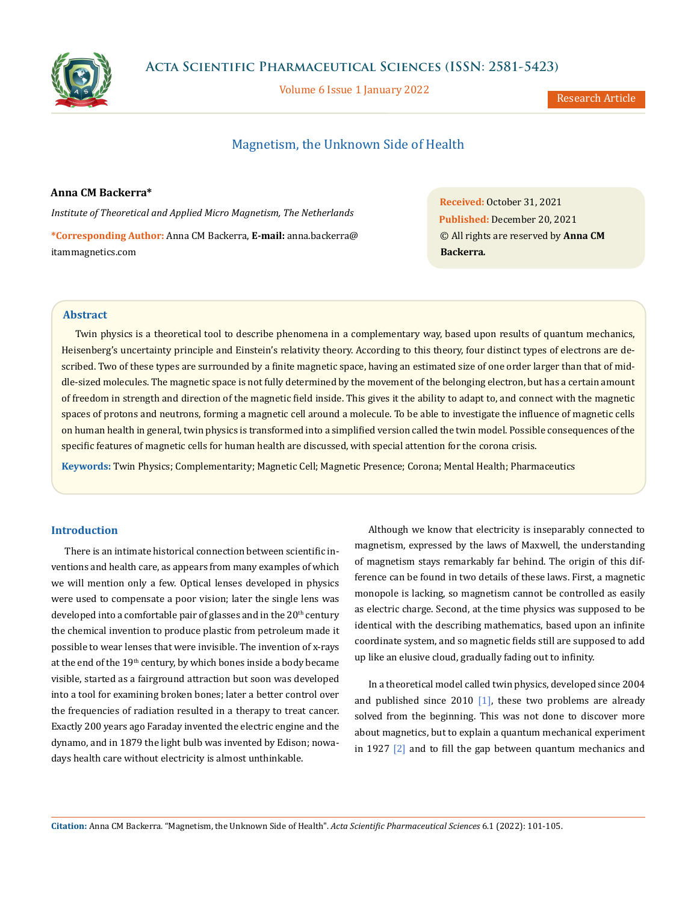

Volume 6 Issue 1 January 2022

Research Article

# Magnetism, the Unknown Side of Health

### **Anna CM Backerra\***

*Institute of Theoretical and Applied Micro Magnetism, The Netherlands*

**\*Corresponding Author:** Anna CM Backerra, **E-mail:** [anna.backerra@](mailto:anna.backerra%40itammagnetics.com?subject=) [itammagnetics.com](mailto:anna.backerra%40itammagnetics.com?subject=)

**Received:** October 31, 2021 **Published:** December 20, 2021 © All rights are reserved by **Anna CM Backerra***.*

## **Abstract**

Twin physics is a theoretical tool to describe phenomena in a complementary way, based upon results of quantum mechanics, Heisenberg's uncertainty principle and Einstein's relativity theory. According to this theory, four distinct types of electrons are described. Two of these types are surrounded by a finite magnetic space, having an estimated size of one order larger than that of middle-sized molecules. The magnetic space is not fully determined by the movement of the belonging electron, but has a certain amount of freedom in strength and direction of the magnetic field inside. This gives it the ability to adapt to, and connect with the magnetic spaces of protons and neutrons, forming a magnetic cell around a molecule. To be able to investigate the influence of magnetic cells on human health in general, twin physics is transformed into a simplified version called the twin model. Possible consequences of the specific features of magnetic cells for human health are discussed, with special attention for the corona crisis.

**Keywords:** Twin Physics; Complementarity; Magnetic Cell; Magnetic Presence; Corona; Mental Health; Pharmaceutics

## **Introduction**

There is an intimate historical connection between scientific inventions and health care, as appears from many examples of which we will mention only a few. Optical lenses developed in physics were used to compensate a poor vision; later the single lens was developed into a comfortable pair of glasses and in the 20<sup>th</sup> century the chemical invention to produce plastic from petroleum made it possible to wear lenses that were invisible. The invention of x-rays at the end of the 19<sup>th</sup> century, by which bones inside a body became visible, started as a fairground attraction but soon was developed into a tool for examining broken bones; later a better control over the frequencies of radiation resulted in a therapy to treat cancer. Exactly 200 years ago Faraday invented the electric engine and the dynamo, and in 1879 the light bulb was invented by Edison; nowadays health care without electricity is almost unthinkable.

Although we know that electricity is inseparably connected to magnetism, expressed by the laws of Maxwell, the understanding of magnetism stays remarkably far behind. The origin of this difference can be found in two details of these laws. First, a magnetic monopole is lacking, so magnetism cannot be controlled as easily as electric charge. Second, at the time physics was supposed to be identical with the describing mathematics, based upon an infinite coordinate system, and so magnetic fields still are supposed to add up like an elusive cloud, gradually fading out to infinity.

In a theoretical model called twin physics, developed since 2004 and published since 2010  $\boxed{1}$ , these two problems are already solved from the beginning. This was not done to discover more about magnetics, but to explain a quantum mechanical experiment in 1927 [2] and to fill the gap between quantum mechanics and

**Citation:** Anna CM Backerra*.* "Magnetism, the Unknown Side of Health". *Acta Scientific Pharmaceutical Sciences* 6.1 (2022): 101-105.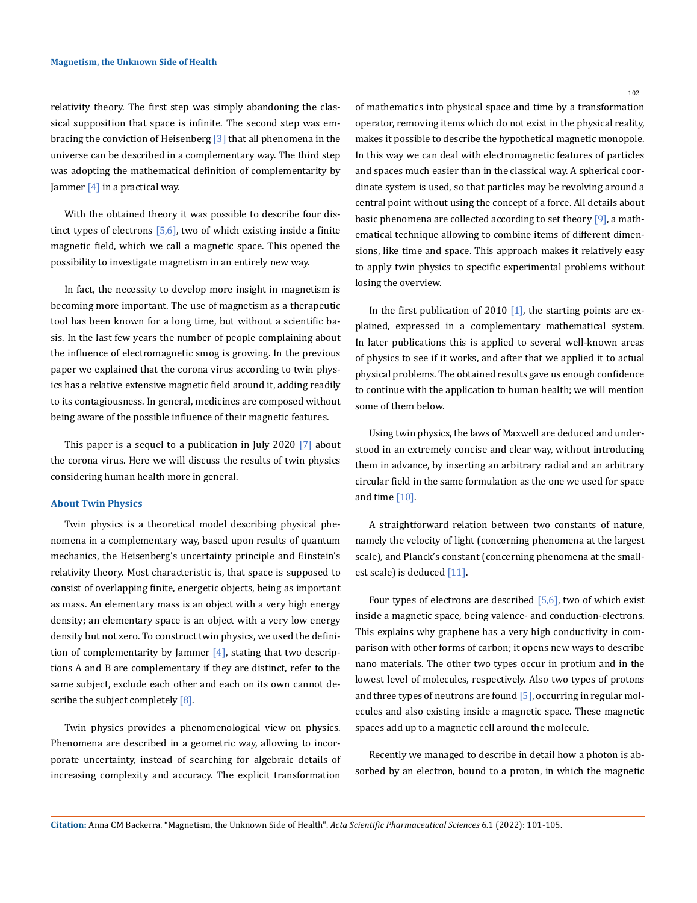relativity theory. The first step was simply abandoning the classical supposition that space is infinite. The second step was embracing the conviction of Heisenberg [3] that all phenomena in the universe can be described in a complementary way. The third step was adopting the mathematical definition of complementarity by Jammer  $[4]$  in a practical way.

With the obtained theory it was possible to describe four distinct types of electrons  $[5,6]$ , two of which existing inside a finite magnetic field, which we call a magnetic space. This opened the possibility to investigate magnetism in an entirely new way.

In fact, the necessity to develop more insight in magnetism is becoming more important. The use of magnetism as a therapeutic tool has been known for a long time, but without a scientific basis. In the last few years the number of people complaining about the influence of electromagnetic smog is growing. In the previous paper we explained that the corona virus according to twin physics has a relative extensive magnetic field around it, adding readily to its contagiousness. In general, medicines are composed without being aware of the possible influence of their magnetic features.

This paper is a sequel to a publication in July 2020 [7] about the corona virus. Here we will discuss the results of twin physics considering human health more in general.

#### **About Twin Physics**

Twin physics is a theoretical model describing physical phenomena in a complementary way, based upon results of quantum mechanics, the Heisenberg's uncertainty principle and Einstein's relativity theory. Most characteristic is, that space is supposed to consist of overlapping finite, energetic objects, being as important as mass. An elementary mass is an object with a very high energy density; an elementary space is an object with a very low energy density but not zero. To construct twin physics, we used the definition of complementarity by Jammer  $[4]$ , stating that two descriptions A and B are complementary if they are distinct, refer to the same subject, exclude each other and each on its own cannot describe the subject completely [8].

Twin physics provides a phenomenological view on physics. Phenomena are described in a geometric way, allowing to incorporate uncertainty, instead of searching for algebraic details of increasing complexity and accuracy. The explicit transformation

102

of mathematics into physical space and time by a transformation operator, removing items which do not exist in the physical reality, makes it possible to describe the hypothetical magnetic monopole. In this way we can deal with electromagnetic features of particles and spaces much easier than in the classical way. A spherical coordinate system is used, so that particles may be revolving around a central point without using the concept of a force. All details about basic phenomena are collected according to set theory [9], a mathematical technique allowing to combine items of different dimensions, like time and space. This approach makes it relatively easy to apply twin physics to specific experimental problems without losing the overview.

In the first publication of 2010  $[1]$ , the starting points are explained, expressed in a complementary mathematical system. In later publications this is applied to several well-known areas of physics to see if it works, and after that we applied it to actual physical problems. The obtained results gave us enough confidence to continue with the application to human health; we will mention some of them below.

Using twin physics, the laws of Maxwell are deduced and understood in an extremely concise and clear way, without introducing them in advance, by inserting an arbitrary radial and an arbitrary circular field in the same formulation as the one we used for space and time [10].

A straightforward relation between two constants of nature, namely the velocity of light (concerning phenomena at the largest scale), and Planck's constant (concerning phenomena at the smallest scale) is deduced [11].

Four types of electrons are described  $[5,6]$ , two of which exist inside a magnetic space, being valence- and conduction-electrons. This explains why graphene has a very high conductivity in comparison with other forms of carbon; it opens new ways to describe nano materials. The other two types occur in protium and in the lowest level of molecules, respectively. Also two types of protons and three types of neutrons are found  $[5]$ , occurring in regular molecules and also existing inside a magnetic space. These magnetic spaces add up to a magnetic cell around the molecule.

Recently we managed to describe in detail how a photon is absorbed by an electron, bound to a proton, in which the magnetic

**Citation:** Anna CM Backerra*.* "Magnetism, the Unknown Side of Health". *Acta Scientific Pharmaceutical Sciences* 6.1 (2022): 101-105.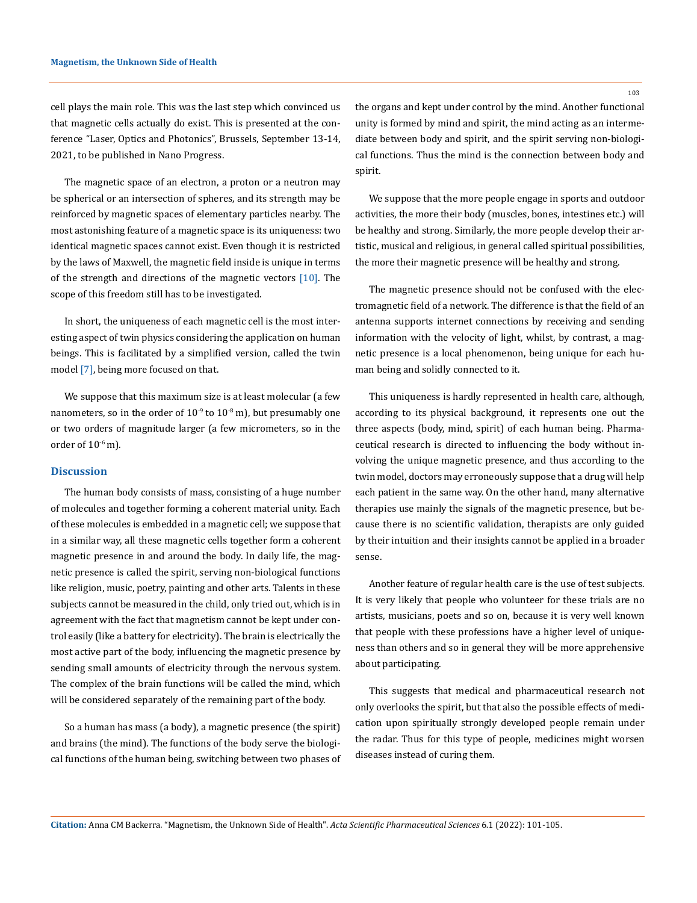cell plays the main role. This was the last step which convinced us that magnetic cells actually do exist. This is presented at the conference "Laser, Optics and Photonics", Brussels, September 13-14, 2021, to be published in Nano Progress.

The magnetic space of an electron, a proton or a neutron may be spherical or an intersection of spheres, and its strength may be reinforced by magnetic spaces of elementary particles nearby. The most astonishing feature of a magnetic space is its uniqueness: two identical magnetic spaces cannot exist. Even though it is restricted by the laws of Maxwell, the magnetic field inside is unique in terms of the strength and directions of the magnetic vectors  $[10]$ . The scope of this freedom still has to be investigated.

In short, the uniqueness of each magnetic cell is the most interesting aspect of twin physics considering the application on human beings. This is facilitated by a simplified version, called the twin model [7], being more focused on that.

We suppose that this maximum size is at least molecular (a few nanometers, so in the order of  $10^{-9}$  to  $10^{-8}$  m), but presumably one or two orders of magnitude larger (a few micrometers, so in the order of  $10<sup>-6</sup>$  m).

#### **Discussion**

The human body consists of mass, consisting of a huge number of molecules and together forming a coherent material unity. Each of these molecules is embedded in a magnetic cell; we suppose that in a similar way, all these magnetic cells together form a coherent magnetic presence in and around the body. In daily life, the magnetic presence is called the spirit, serving non-biological functions like religion, music, poetry, painting and other arts. Talents in these subjects cannot be measured in the child, only tried out, which is in agreement with the fact that magnetism cannot be kept under control easily (like a battery for electricity). The brain is electrically the most active part of the body, influencing the magnetic presence by sending small amounts of electricity through the nervous system. The complex of the brain functions will be called the mind, which will be considered separately of the remaining part of the body.

So a human has mass (a body), a magnetic presence (the spirit) and brains (the mind). The functions of the body serve the biological functions of the human being, switching between two phases of the organs and kept under control by the mind. Another functional unity is formed by mind and spirit, the mind acting as an intermediate between body and spirit, and the spirit serving non-biological functions. Thus the mind is the connection between body and spirit.

We suppose that the more people engage in sports and outdoor activities, the more their body (muscles, bones, intestines etc.) will be healthy and strong. Similarly, the more people develop their artistic, musical and religious, in general called spiritual possibilities, the more their magnetic presence will be healthy and strong.

The magnetic presence should not be confused with the electromagnetic field of a network. The difference is that the field of an antenna supports internet connections by receiving and sending information with the velocity of light, whilst, by contrast, a magnetic presence is a local phenomenon, being unique for each human being and solidly connected to it.

This uniqueness is hardly represented in health care, although, according to its physical background, it represents one out the three aspects (body, mind, spirit) of each human being. Pharmaceutical research is directed to influencing the body without involving the unique magnetic presence, and thus according to the twin model, doctors may erroneously suppose that a drug will help each patient in the same way. On the other hand, many alternative therapies use mainly the signals of the magnetic presence, but because there is no scientific validation, therapists are only guided by their intuition and their insights cannot be applied in a broader sense.

Another feature of regular health care is the use of test subjects. It is very likely that people who volunteer for these trials are no artists, musicians, poets and so on, because it is very well known that people with these professions have a higher level of uniqueness than others and so in general they will be more apprehensive about participating.

This suggests that medical and pharmaceutical research not only overlooks the spirit, but that also the possible effects of medication upon spiritually strongly developed people remain under the radar. Thus for this type of people, medicines might worsen diseases instead of curing them.

103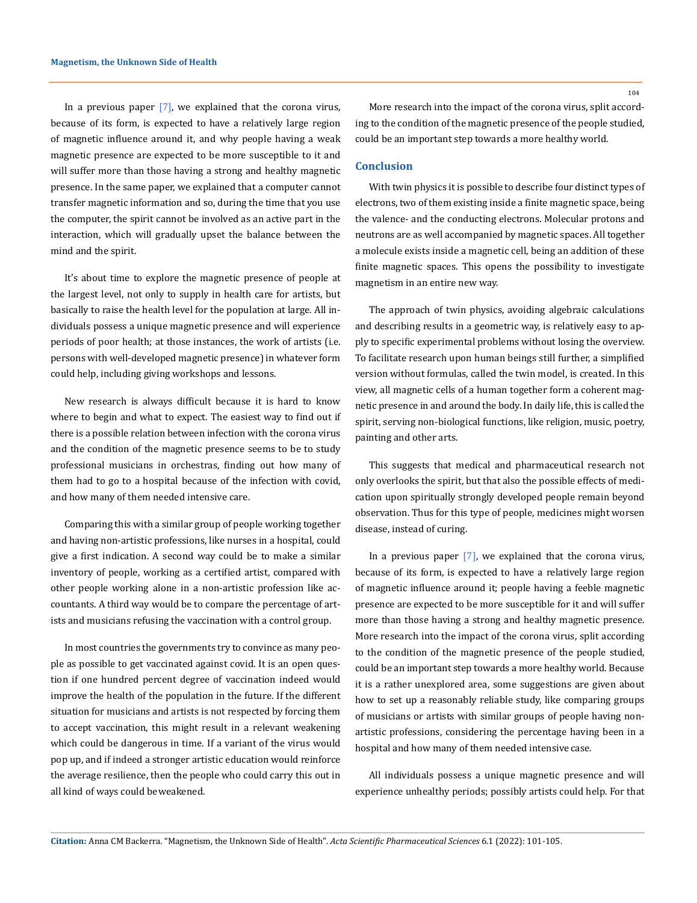In a previous paper [7], we explained that the corona virus, because of its form, is expected to have a relatively large region of magnetic influence around it, and why people having a weak magnetic presence are expected to be more susceptible to it and will suffer more than those having a strong and healthy magnetic presence. In the same paper, we explained that a computer cannot transfer magnetic information and so, during the time that you use the computer, the spirit cannot be involved as an active part in the interaction, which will gradually upset the balance between the mind and the spirit.

It's about time to explore the magnetic presence of people at the largest level, not only to supply in health care for artists, but basically to raise the health level for the population at large. All individuals possess a unique magnetic presence and will experience periods of poor health; at those instances, the work of artists (i.e. persons with well-developed magnetic presence) in whatever form could help, including giving workshops and lessons.

New research is always difficult because it is hard to know where to begin and what to expect. The easiest way to find out if there is a possible relation between infection with the corona virus and the condition of the magnetic presence seems to be to study professional musicians in orchestras, finding out how many of them had to go to a hospital because of the infection with covid, and how many of them needed intensive care.

Comparing this with a similar group of people working together and having non-artistic professions, like nurses in a hospital, could give a first indication. A second way could be to make a similar inventory of people, working as a certified artist, compared with other people working alone in a non-artistic profession like accountants. A third way would be to compare the percentage of artists and musicians refusing the vaccination with a control group.

In most countries the governments try to convince as many people as possible to get vaccinated against covid. It is an open question if one hundred percent degree of vaccination indeed would improve the health of the population in the future. If the different situation for musicians and artists is not respected by forcing them to accept vaccination, this might result in a relevant weakening which could be dangerous in time. If a variant of the virus would pop up, and if indeed a stronger artistic education would reinforce the average resilience, then the people who could carry this out in all kind of ways could be weakened.

104

More research into the impact of the corona virus, split according to the condition of the magnetic presence of the people studied, could be an important step towards a more healthy world.

#### **Conclusion**

With twin physics it is possible to describe four distinct types of electrons, two of them existing inside a finite magnetic space, being the valence- and the conducting electrons. Molecular protons and neutrons are as well accompanied by magnetic spaces. All together a molecule exists inside a magnetic cell, being an addition of these finite magnetic spaces. This opens the possibility to investigate magnetism in an entire new way.

The approach of twin physics, avoiding algebraic calculations and describing results in a geometric way, is relatively easy to apply to specific experimental problems without losing the overview. To facilitate research upon human beings still further, a simplified version without formulas, called the twin model, is created. In this view, all magnetic cells of a human together form a coherent magnetic presence in and around the body. In daily life, this is called the spirit, serving non-biological functions, like religion, music, poetry, painting and other arts.

This suggests that medical and pharmaceutical research not only overlooks the spirit, but that also the possible effects of medication upon spiritually strongly developed people remain beyond observation. Thus for this type of people, medicines might worsen disease, instead of curing.

In a previous paper  $[7]$ , we explained that the corona virus, because of its form, is expected to have a relatively large region of magnetic influence around it; people having a feeble magnetic presence are expected to be more susceptible for it and will suffer more than those having a strong and healthy magnetic presence. More research into the impact of the corona virus, split according to the condition of the magnetic presence of the people studied, could be an important step towards a more healthy world. Because it is a rather unexplored area, some suggestions are given about how to set up a reasonably reliable study, like comparing groups of musicians or artists with similar groups of people having nonartistic professions, considering the percentage having been in a hospital and how many of them needed intensive case.

All individuals possess a unique magnetic presence and will experience unhealthy periods; possibly artists could help. For that